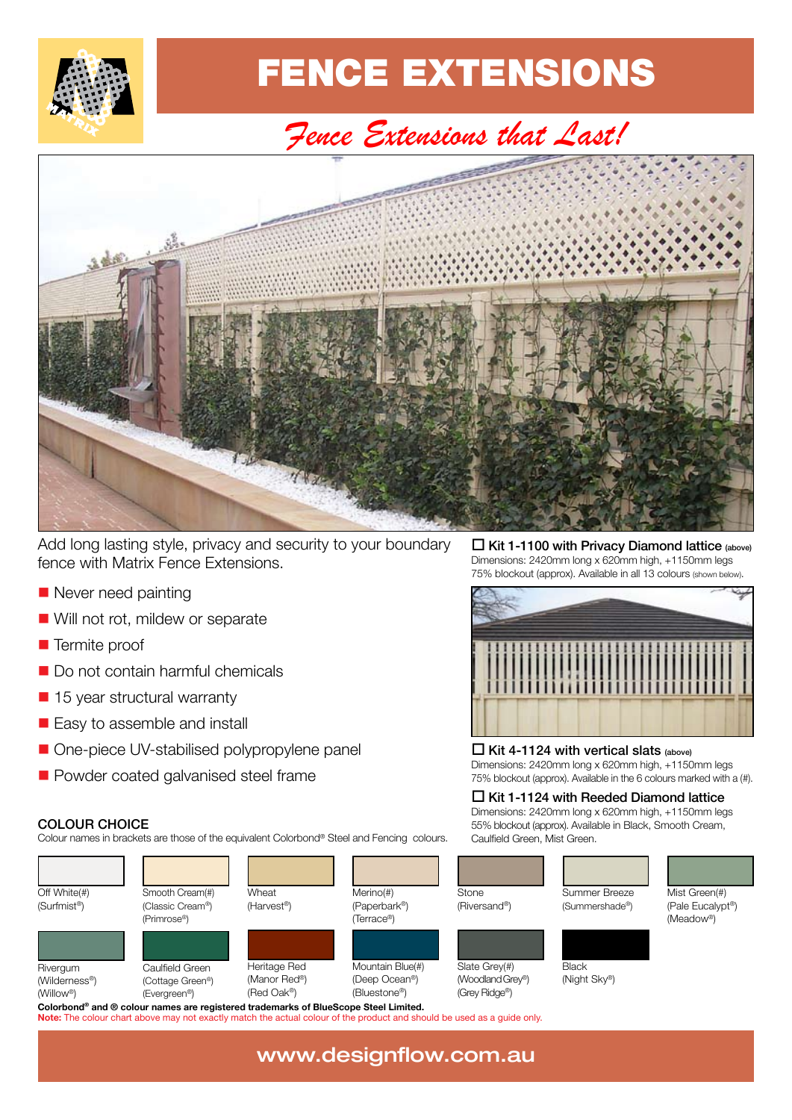

## FENCE EXTENSIONS

## *Fence Extensions that Last!*



Add long lasting style, privacy and security to your boundary fence with Matrix Fence Extensions.

- Never need painting
- Will not rot, mildew or separate
- **Termite proof**
- Do not contain harmful chemicals
- 15 year structural warranty
- Easy to assemble and install
- One-piece UV-stabilised polypropylene panel
- Powder coated galvanised steel frame

#### COLOUR CHOICE

Colour names in brackets are those of the equivalent Colorbond® Steel and Fencing colours.



Note: The colour chart above may not exactly match the actual colour of the product and should be used as a guide only.

 $\Box$  Kit 1-1100 with Privacy Diamond lattice (above) Dimensions: 2420mm long x 620mm high, +1150mm legs 75% blockout (approx). Available in all 13 colours (shown below).



 $\Box$  Kit 4-1124 with vertical slats (above) Dimensions: 2420mm long x 620mm high, +1150mm legs 75% blockout (approx). Available in the 6 colours marked with a (#).

#### $\Box$  Kit 1-1124 with Reeded Diamond lattice Dimensions: 2420mm long x 620mm high, +1150mm legs 55% blockout (approx). Available in Black, Smooth Cream,

Caulfield Green, Mist Green. Summer Breeze (Summershade®)





(Night Sky®)